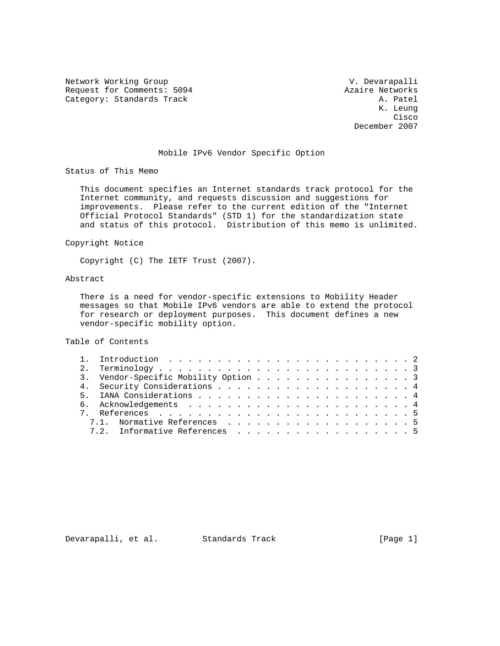Network Working Group and Communications of the V. Devarapalli Request for Comments: 5094 <br>Category: Standards Track and Manusculing and Manusculing and A. Patel Category: Standards Track

 K. Leung **Cisco de la contrata de la contrata de la contrata de la contrata de la contrata de la contrata de la contrat** December 2007

## Mobile IPv6 Vendor Specific Option

Status of This Memo

 This document specifies an Internet standards track protocol for the Internet community, and requests discussion and suggestions for improvements. Please refer to the current edition of the "Internet Official Protocol Standards" (STD 1) for the standardization state and status of this protocol. Distribution of this memo is unlimited.

Copyright Notice

Copyright (C) The IETF Trust (2007).

# Abstract

 There is a need for vendor-specific extensions to Mobility Header messages so that Mobile IPv6 vendors are able to extend the protocol for research or deployment purposes. This document defines a new vendor-specific mobility option.

Table of Contents

|  | 3. Vendor-Specific Mobility Option 3 |
|--|--------------------------------------|
|  |                                      |
|  |                                      |
|  |                                      |
|  |                                      |
|  | 7.1. Normative References 5          |
|  | 7.2. Informative References 5        |

Devarapalli, et al. Standards Track [Page 1]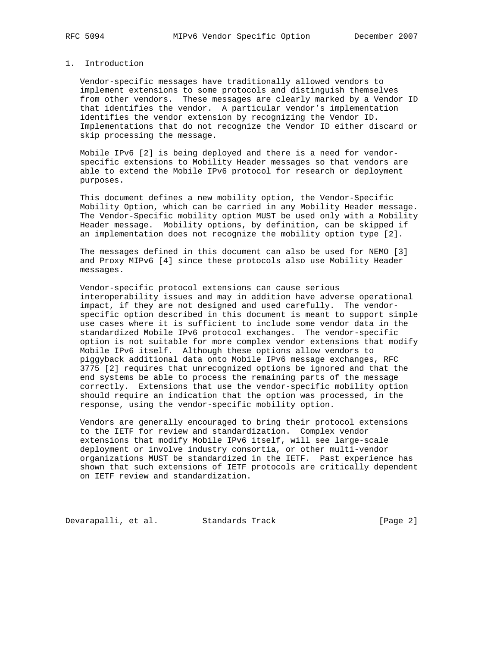### 1. Introduction

 Vendor-specific messages have traditionally allowed vendors to implement extensions to some protocols and distinguish themselves from other vendors. These messages are clearly marked by a Vendor ID that identifies the vendor. A particular vendor's implementation identifies the vendor extension by recognizing the Vendor ID. Implementations that do not recognize the Vendor ID either discard or skip processing the message.

 Mobile IPv6 [2] is being deployed and there is a need for vendor specific extensions to Mobility Header messages so that vendors are able to extend the Mobile IPv6 protocol for research or deployment purposes.

 This document defines a new mobility option, the Vendor-Specific Mobility Option, which can be carried in any Mobility Header message. The Vendor-Specific mobility option MUST be used only with a Mobility Header message. Mobility options, by definition, can be skipped if an implementation does not recognize the mobility option type [2].

 The messages defined in this document can also be used for NEMO [3] and Proxy MIPv6 [4] since these protocols also use Mobility Header messages.

 Vendor-specific protocol extensions can cause serious interoperability issues and may in addition have adverse operational impact, if they are not designed and used carefully. The vendor specific option described in this document is meant to support simple use cases where it is sufficient to include some vendor data in the standardized Mobile IPv6 protocol exchanges. The vendor-specific option is not suitable for more complex vendor extensions that modify Mobile IPv6 itself. Although these options allow vendors to piggyback additional data onto Mobile IPv6 message exchanges, RFC 3775 [2] requires that unrecognized options be ignored and that the end systems be able to process the remaining parts of the message correctly. Extensions that use the vendor-specific mobility option should require an indication that the option was processed, in the response, using the vendor-specific mobility option.

 Vendors are generally encouraged to bring their protocol extensions to the IETF for review and standardization. Complex vendor extensions that modify Mobile IPv6 itself, will see large-scale deployment or involve industry consortia, or other multi-vendor organizations MUST be standardized in the IETF. Past experience has shown that such extensions of IETF protocols are critically dependent on IETF review and standardization.

Devarapalli, et al. Standards Track [Page 2]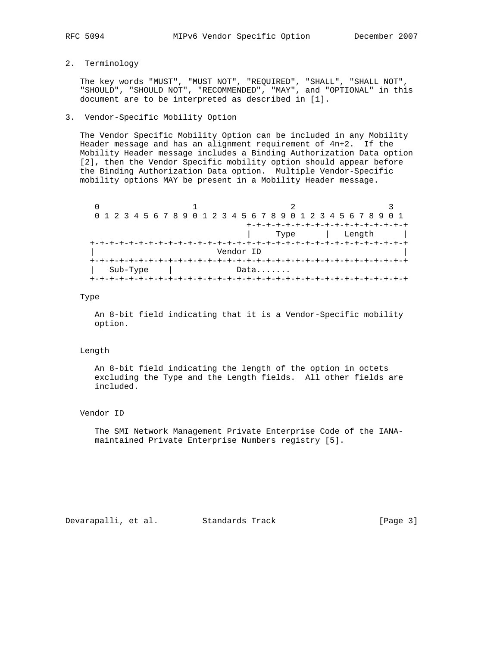# 2. Terminology

 The key words "MUST", "MUST NOT", "REQUIRED", "SHALL", "SHALL NOT", "SHOULD", "SHOULD NOT", "RECOMMENDED", "MAY", and "OPTIONAL" in this document are to be interpreted as described in [1].

#### 3. Vendor-Specific Mobility Option

 The Vendor Specific Mobility Option can be included in any Mobility Header message and has an alignment requirement of 4n+2. If the Mobility Header message includes a Binding Authorization Data option [2], then the Vendor Specific mobility option should appear before the Binding Authorization Data option. Multiple Vendor-Specific mobility options MAY be present in a Mobility Header message.

|           | 0 1 2 3 4 5 6 7 8 9 0 1 2 3 4 5 6 7 8 9 0 1 2 3 4 5 6 7 8 9 0 1 |                                      |        |  |  |  |
|-----------|-----------------------------------------------------------------|--------------------------------------|--------|--|--|--|
|           |                                                                 |                                      |        |  |  |  |
|           |                                                                 | Type                                 | Length |  |  |  |
|           |                                                                 | -+-+-+-+-+-+-+-+-+-+-+-+-+-+-+-+-+-+ |        |  |  |  |
| Vendor ID |                                                                 |                                      |        |  |  |  |
|           |                                                                 |                                      |        |  |  |  |
| Sub-Type  |                                                                 | Data                                 |        |  |  |  |
|           |                                                                 |                                      |        |  |  |  |

#### Type

 An 8-bit field indicating that it is a Vendor-Specific mobility option.

#### Length

 An 8-bit field indicating the length of the option in octets excluding the Type and the Length fields. All other fields are included.

#### Vendor ID

 The SMI Network Management Private Enterprise Code of the IANA maintained Private Enterprise Numbers registry [5].

Devarapalli, et al. Standards Track [Page 3]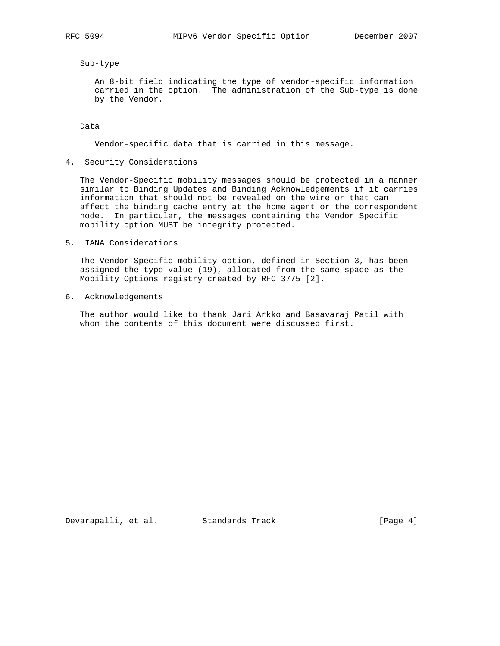### Sub-type

 An 8-bit field indicating the type of vendor-specific information carried in the option. The administration of the Sub-type is done by the Vendor.

Data

Vendor-specific data that is carried in this message.

4. Security Considerations

 The Vendor-Specific mobility messages should be protected in a manner similar to Binding Updates and Binding Acknowledgements if it carries information that should not be revealed on the wire or that can affect the binding cache entry at the home agent or the correspondent node. In particular, the messages containing the Vendor Specific mobility option MUST be integrity protected.

5. IANA Considerations

 The Vendor-Specific mobility option, defined in Section 3, has been assigned the type value (19), allocated from the same space as the Mobility Options registry created by RFC 3775 [2].

6. Acknowledgements

 The author would like to thank Jari Arkko and Basavaraj Patil with whom the contents of this document were discussed first.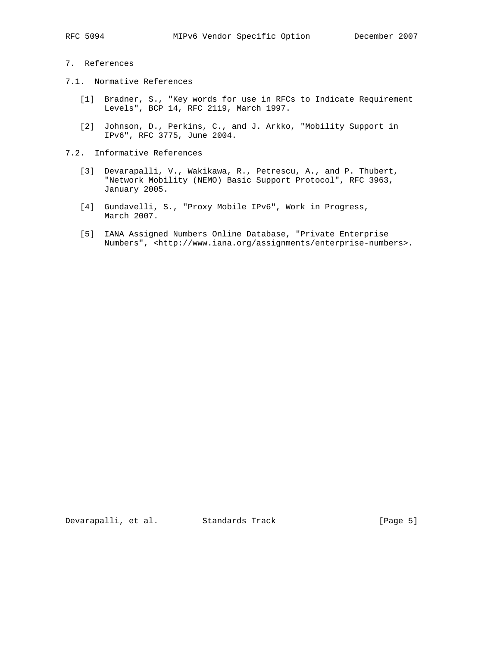## 7. References

- 7.1. Normative References
	- [1] Bradner, S., "Key words for use in RFCs to Indicate Requirement Levels", BCP 14, RFC 2119, March 1997.
	- [2] Johnson, D., Perkins, C., and J. Arkko, "Mobility Support in IPv6", RFC 3775, June 2004.
- 7.2. Informative References
	- [3] Devarapalli, V., Wakikawa, R., Petrescu, A., and P. Thubert, "Network Mobility (NEMO) Basic Support Protocol", RFC 3963, January 2005.
	- [4] Gundavelli, S., "Proxy Mobile IPv6", Work in Progress, March 2007.
	- [5] IANA Assigned Numbers Online Database, "Private Enterprise Numbers", <http://www.iana.org/assignments/enterprise-numbers>.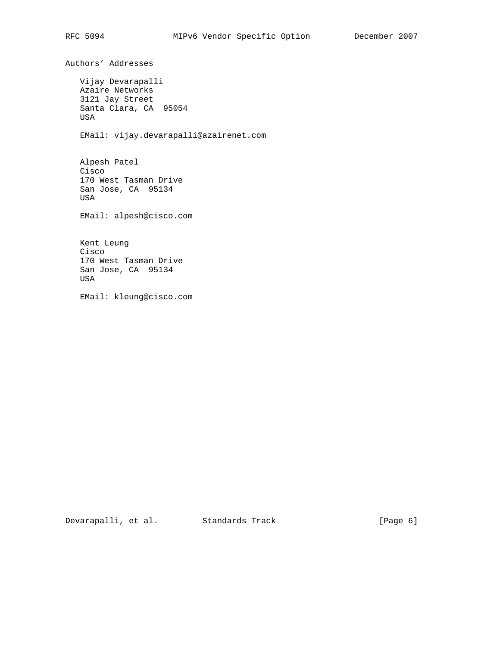Authors' Addresses Vijay Devarapalli Azaire Networks 3121 Jay Street Santa Clara, CA 95054 USA EMail: vijay.devarapalli@azairenet.com Alpesh Patel Cisco 170 West Tasman Drive San Jose, CA 95134 USA EMail: alpesh@cisco.com Kent Leung Cisco 170 West Tasman Drive San Jose, CA 95134 USA EMail: kleung@cisco.com